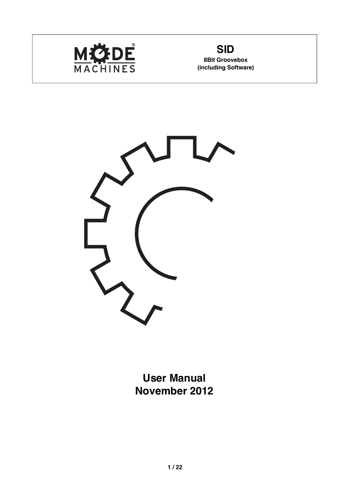

**(including Software)**



**User Manual November 2012**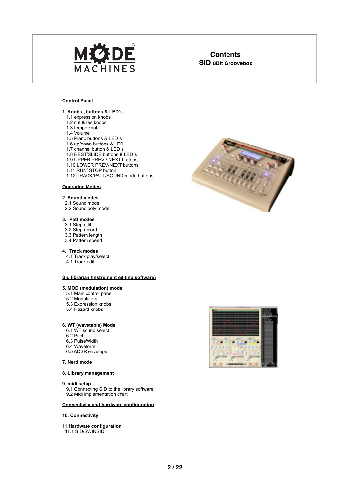

# **Contents**

#### **Control Panel**

#### **1. Knobs , buttons & LED´s**

- 1.1 expression knobs
- 1.2 cut & res knobs
- 1.3 tempo knob
- 1.4 Volume
- 1.5 Piano buttons & LED´s
- 1.6 up/down buttons & LED
- 1.7 channel button & LED´s
- 1.8 REST/SLIDE buttons & LED´s
- 1.9 UPPER PREV / NEXT buttons
- 1.10 LOWER PREV/NEXT buttons
- 1.11 RUN/ STOP button
- 1.12 TRACK/PATT/SOUND mode buttons

#### **Operation Modes**

#### **2. Sound modes**

- 2.1 Sound mode
- 2.2 Sound poly mode

#### **3. Patt modes**

- 3.1 Step edit
- 3.2 Step record
- 3.3 Pattern length
- 3.4 Pattern speed

#### **4. Track modes**

- 4.1 Track play/select
- 4.1 Track edit

#### **Sid librarian (Instrument editing software)**

#### **5. MOD (modulation) mode**

- 5.1 Main control panel
- 5.2 Modulators
- 5.3 Expression knobs
- 5.4 Hazard knobs

#### **6. WT (wavetable) Mode**

- 6.1 WT sound select
- 6.2 Pitch
- 6.3 PulseWidth
- 6.4 Waveform
- 6.5 ADSR envelope

#### **7. Nerd mode**

#### **8. Library management**

#### **9. midi setup**

9.1 Connecting SID to the library software 9.2 Midi implementation chart

#### **Connectivity and hardware configuration**

#### **10. Connectivity**

**11.Hardware configuration**

11.1 SID/SWINSID



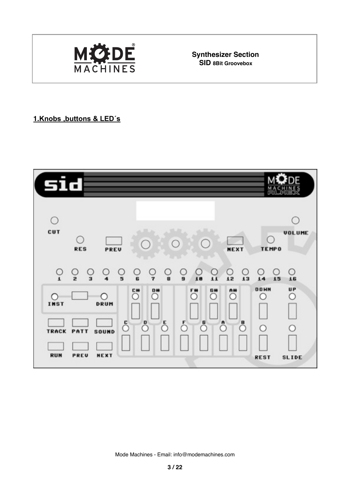

**Synthesizer Section**<br>SID 8Bit Groovebox

#### **1.Knobs ,buttons & LED´s**

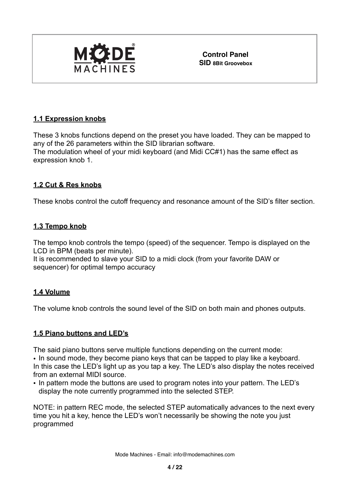

**Control Panel**

# **1.1 Expression knobs**

These 3 knobs functions depend on the preset you have loaded. They can be mapped to any of the 26 parameters within the SID librarian software. The modulation wheel of your midi keyboard (and Midi CC#1) has the same effect as expression knob 1.

### **1.2 Cut & Res knobs**

These knobs control the cutoff frequency and resonance amount of the SID's filter section.

#### **1.3 Tempo knob**

The tempo knob controls the tempo (speed) of the sequencer. Tempo is displayed on the LCD in BPM (beats per minute).

It is recommended to slave your SID to a midi clock (from your favorite DAW or sequencer) for optimal tempo accuracy

#### **1.4 Volume**

The volume knob controls the sound level of the SID on both main and phones outputs.

### **1.5 Piano buttons and LED's**

The said piano buttons serve multiple functions depending on the current mode:

• In sound mode, they become piano keys that can be tapped to play like a keyboard. In this case the LED's light up as you tap a key. The LED's also display the notes received from an external MIDI source.

• In pattern mode the buttons are used to program notes into your pattern. The LED's display the note currently programmed into the selected STEP.

NOTE: in pattern REC mode, the selected STEP automatically advances to the next every time you hit a key, hence the LED's won't necessarily be showing the note you just programmed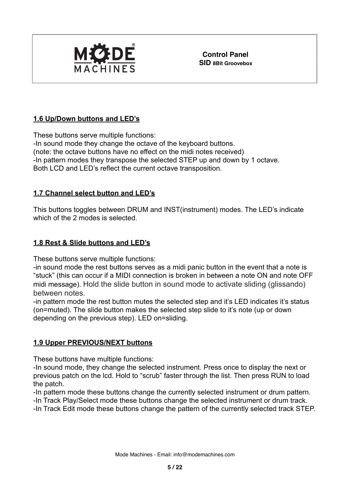

**Control Panel SID 8Bit Groovebox**

# **1.6 Up/Down buttons and LED's**

These buttons serve multiple functions: -In sound mode they change the octave of the keyboard buttons. (note: the octave buttons have no effect on the midi notes received) -In pattern modes they transpose the selected STEP up and down by 1 octave. Both LCD and LED's reflect the current octave transposition.

### **1.7 Channel select button and LED's**

This buttons toggles between DRUM and INST(instrument) modes. The LED's indicate which of the 2 modes is selected.

### **1.8 Rest & Slide buttons and LED's**

These buttons serve multiple functions:

-in sound mode the rest buttons serves as a midi panic button in the event that a note is "stuck" (this can occur if a MIDI connection is broken in between a note ON and note OFF midi message). Hold the slide button in sound mode to activate sliding (glissando) between notes.

-in pattern mode the rest button mutes the selected step and it's LED indicates it's status (on=muted). The slide button makes the selected step slide to it's note (up or down depending on the previous step). LED on=sliding.

### **1.9 Upper PREVIOUS/NEXT buttons**

These buttons have multiple functions:

-In sound mode, they change the selected instrument. Press once to display the next or previous patch on the lcd. Hold to "scrub" faster through the list. Then press RUN to load the patch.

-In pattern mode these buttons change the currently selected instrument or drum pattern. -In Track Play/Select mode these buttons change the selected instrument or drum track.

-In Track Edit mode these buttons change the pattern of the currently selected track STEP.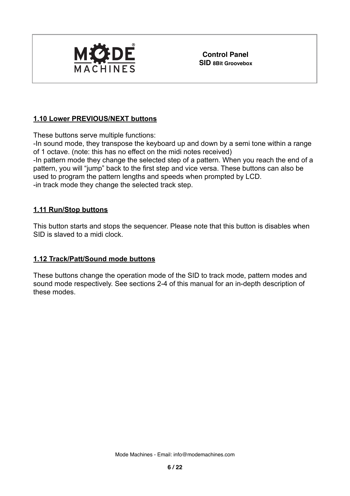

**Control Panel**

# **1.10 Lower PREVIOUS/NEXT buttons**

These buttons serve multiple functions:

-In sound mode, they transpose the keyboard up and down by a semi tone within a range of 1 octave. (note: this has no effect on the midi notes received)

-In pattern mode they change the selected step of a pattern. When you reach the end of a pattern, you will "jump" back to the first step and vice versa. These buttons can also be used to program the pattern lengths and speeds when prompted by LCD. -in track mode they change the selected track step.

### **1.11 Run/Stop buttons**

This button starts and stops the sequencer. Please note that this button is disables when SID is slaved to a midi clock.

#### **1.12 Track/Patt/Sound mode buttons**

These buttons change the operation mode of the SID to track mode, pattern modes and sound mode respectively. See sections 2-4 of this manual for an in-depth description of these modes.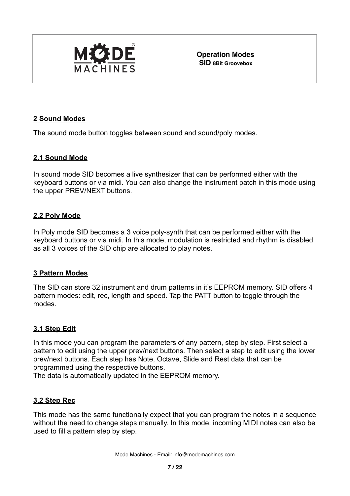

**Operation Modes SID 8Bit Groovebox**

#### **2 Sound Modes**

The sound mode button toggles between sound and sound/poly modes.

#### **2.1 Sound Mode**

In sound mode SID becomes a live synthesizer that can be performed either with the keyboard buttons or via midi. You can also change the instrument patch in this mode using the upper PREV/NEXT buttons.

#### **2.2 Poly Mode**

In Poly mode SID becomes a 3 voice poly-synth that can be performed either with the keyboard buttons or via midi. In this mode, modulation is restricted and rhythm is disabled as all 3 voices of the SID chip are allocated to play notes.

#### **3 Pattern Modes**

The SID can store 32 instrument and drum patterns in it's EEPROM memory. SID offers 4 pattern modes: edit, rec, length and speed. Tap the PATT button to toggle through the modes.

#### **3.1 Step Edit**

In this mode you can program the parameters of any pattern, step by step. First select a pattern to edit using the upper prev/next buttons. Then select a step to edit using the lower prev/next buttons. Each step has Note, Octave, Slide and Rest data that can be programmed using the respective buttons.

The data is automatically updated in the EEPROM memory.

#### **3.2 Step Rec**

This mode has the same functionally expect that you can program the notes in a sequence without the need to change steps manually. In this mode, incoming MIDI notes can also be used to fill a pattern step by step.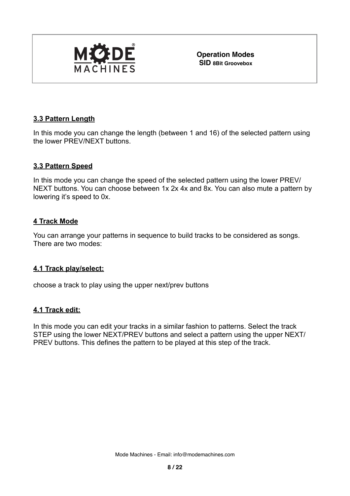

**Operation Modes**

#### **3.3 Pattern Length**

In this mode you can change the length (between 1 and 16) of the selected pattern using the lower PREV/NEXT buttons.

#### **3.3 Pattern Speed**

In this mode you can change the speed of the selected pattern using the lower PREV/ NEXT buttons. You can choose between 1x 2x 4x and 8x. You can also mute a pattern by lowering it's speed to 0x.

#### **4 Track Mode**

You can arrange your patterns in sequence to build tracks to be considered as songs. There are two modes:

#### **4.1 Track play/select:**

choose a track to play using the upper next/prev buttons

#### **4.1 Track edit:**

In this mode you can edit your tracks in a similar fashion to patterns. Select the track STEP using the lower NEXT/PREV buttons and select a pattern using the upper NEXT/ PREV buttons. This defines the pattern to be played at this step of the track.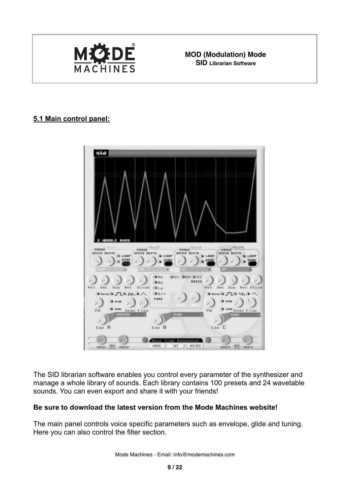

**MCODE** MOD (Modulation) Mode

# **5.1 Main control panel:**



The SID librarian software enables you control every parameter of the synthesizer and manage a whole library of sounds. Each library contains 100 presets and 24 wavetable sounds. You can even export and share it with your friends!

#### **Be sure to download the latest version from the Mode Machines website!**

The main panel controls voice specific parameters such as envelope, glide and tuning. Here you can also control the filter section.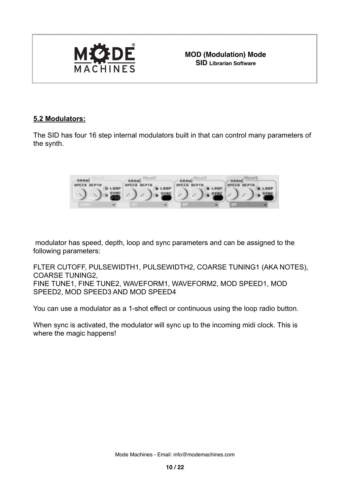

 **SID Librarian Software**

#### **5.2 Modulators:**

The SID has four 16 step internal modulators built in that can control many parameters of the synth.



 modulator has speed, depth, loop and sync parameters and can be assigned to the following parameters:

FLTER CUTOFF, PULSEWIDTH1, PULSEWIDTH2, COARSE TUNING1 (AKA NOTES), COARSE TUNING2, FINE TUNE1, FINE TUNE2, WAVEFORM1, WAVEFORM2, MOD SPEED1, MOD SPEED2, MOD SPEED3 AND MOD SPEED4

You can use a modulator as a 1-shot effect or continuous using the loop radio button.

When sync is activated, the modulator will sync up to the incoming midi clock. This is where the magic happens!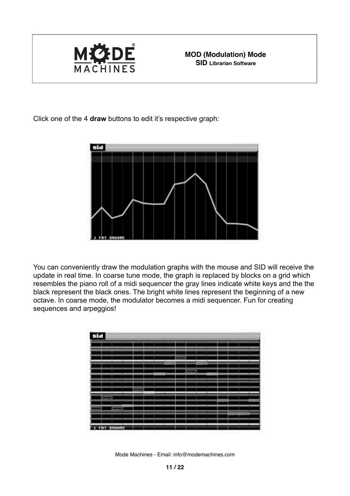

Click one of the 4 **draw** buttons to edit it's respective graph:



You can conveniently draw the modulation graphs with the mouse and SID will receive the update in real time. In coarse tune mode, the graph is replaced by blocks on a grid which resembles the piano roll of a midi sequencer the gray lines indicate white keys and the the black represent the black ones. The bright white lines represent the beginning of a new octave. In coarse mode, the modulator becomes a midi sequencer. Fun for creating sequences and arpeggios!

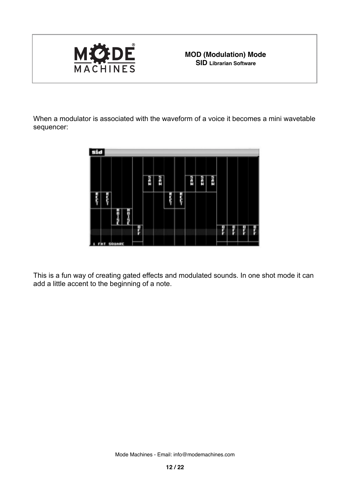

When a modulator is associated with the waveform of a voice it becomes a mini wavetable sequencer:



This is a fun way of creating gated effects and modulated sounds. In one shot mode it can add a little accent to the beginning of a note.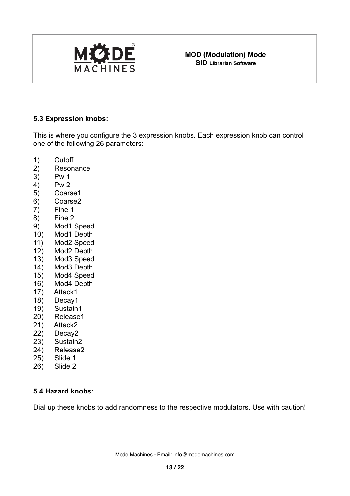

#### **5.3 Expression knobs:**

This is where you configure the 3 expression knobs. Each expression knob can control one of the following 26 parameters:

- 1) Cutoff
- 2) Resonance
- 3) Pw 1
- 4) Pw 2
- 5) Coarse1
- 6) Coarse2
- 7) Fine 1
- 8) Fine 2
- 9) Mod1 Speed
- 10) Mod1 Depth
- 11) Mod2 Speed
- 12) Mod2 Depth
- 13) Mod3 Speed
- 14) Mod3 Depth
- 15) Mod4 Speed
- 16) Mod4 Depth
- 17) Attack1
- 18) Decay1
- 19) Sustain1
- 20) Release1
- 21) Attack2
- 22) Decay2
- 23) Sustain2
- 24) Release2
- 25) Slide 1
- 26) Slide 2

### **5.4 Hazard knobs:**

Dial up these knobs to add randomness to the respective modulators. Use with caution!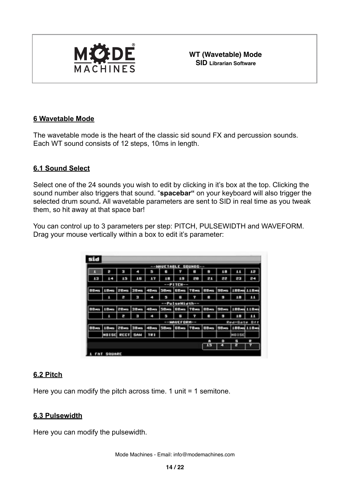

 **SID Librarian Software**

#### **6 Wavetable Mode**

The wavetable mode is the heart of the classic sid sound FX and percussion sounds. Each WT sound consists of 12 steps, 10ms in length.

#### **6.1 Sound Select**

Select one of the 24 sounds you wish to edit by clicking in it's box at the top. Clicking the sound number also triggers that sound. "**spacebar"** on your keyboard will also trigger the selected drum sound**.** All wavetable parameters are sent to SID in real time as you tweak them, so hit away at that space bar!

You can control up to 3 parameters per step: PITCH, PULSEWIDTH and WAVEFORM. Drag your mouse vertically within a box to edit it's parameter:

|              |                   |                  |             |                     | --WAVETABLE SOUNDS-- |                          |                          |               |               |              |    |
|--------------|-------------------|------------------|-------------|---------------------|----------------------|--------------------------|--------------------------|---------------|---------------|--------------|----|
|              | ø                 | H                | a           | s.                  | B                    |                          | в                        | S)            | 18            | 11           | 12 |
| 13           | 14                | 15               | 16          | 17                  | 1.00                 | 1.9                      | ŝ                        | S.            | S.            | ř            | 84 |
|              |                   |                  |             |                     |                      | --РІТСН--                |                          |               |               |              |    |
| 00-45        | 1.0 <sub>ms</sub> | 20 <sub>ms</sub> | <b>20ms</b> | <b>4BHS</b>         | 50ms                 | 60 ms                    | <b>TEHS</b>              | <b>BBWG</b>   | 30 HS         | 100mg 110mg  |    |
|              |                   | W                | Ħ           | ۰                   | в                    | в                        | Ŧ                        | e.            | ш             | 18           | 11 |
|              |                   |                  |             |                     |                      | --PulseWidth--           |                          |               |               |              |    |
| <b>HB</b> 88 | 1.0 mg            | 20 HA            | 30 mg       | 48 HB               | 58m                  | <b>GB</b> etc.           | <b>78mm</b>              | <b>BB</b> exp | <b>SIBHOL</b> | 188m 118m    |    |
|              | 1                 | ø                | w           | ٠                   | э                    | R                        | F                        | ×             | Ħ             | 18           | 11 |
|              |                   |                  |             |                     |                      | --HAUEFORM--             |                          |               |               | Red=Gate Off |    |
| 88 mm        | 1.Bres            |                  |             | 20ss 30ss 40ss 50ss |                      | <b>BB</b> <sub>145</sub> | <b>7B</b> <sub>rts</sub> | <b>BB</b> res | <b>98</b> ms  | 188m 118m    |    |
|              |                   | HOISE RECT SAN   |             | TR1                 |                      |                          |                          |               |               | <b>NOISE</b> |    |
|              |                   |                  |             |                     |                      |                          |                          | m             | o             | 局            | R  |
|              |                   |                  |             |                     |                      |                          |                          | 15            |               |              |    |

#### **6.2 Pitch**

Here you can modify the pitch across time. 1 unit = 1 semitone.

### **6.3 Pulsewidth**

Here you can modify the pulsewidth.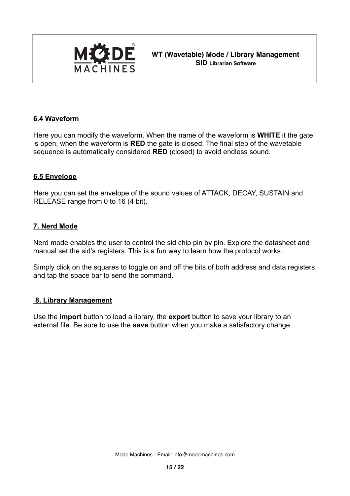

**MICIDE** WT (Wavetable) Mode / Library Management  **SID Librarian Software**

#### **6.4 Waveform**

Here you can modify the waveform. When the name of the waveform is **WHITE** it the gate is open, when the waveform is **RED** the gate is closed. The final step of the wavetable sequence is automatically considered **RED** (closed) to avoid endless sound.

#### **6.5 Envelope**

Here you can set the envelope of the sound values of ATTACK, DECAY, SUSTAIN and RELEASE range from 0 to 16 (4 bit).

#### **7. Nerd Mode**

Nerd mode enables the user to control the sid chip pin by pin. Explore the datasheet and manual set the sid's registers. This is a fun way to learn how the protocol works.

Simply click on the squares to toggle on and off the bits of both address and data registers and tap the space bar to send the command.

#### **8. Library Management**

Use the **import** button to load a library, the **export** button to save your library to an external file. Be sure to use the **save** button when you make a satisfactory change.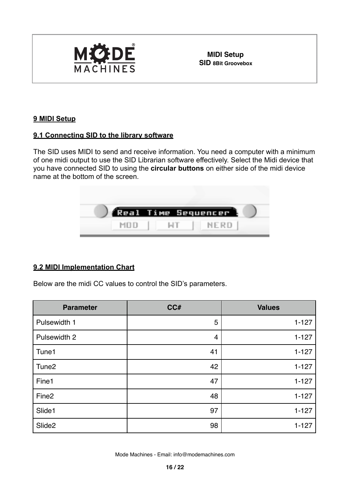

# **9 MIDI Setup**

#### **9.1 Connecting SID to the library software**

The SID uses MIDI to send and receive information. You need a computer with a minimum of one midi output to use the SID Librarian software effectively. Select the Midi device that you have connected SID to using the **circular buttons** on either side of the midi device name at the bottom of the screen.



### **9.2 MIDI Implementation Chart**

Below are the midi CC values to control the SID's parameters.

| <b>Parameter</b>   | CC# | <b>Values</b> |
|--------------------|-----|---------------|
| Pulsewidth 1       | 5   | $1 - 127$     |
| Pulsewidth 2       | 4   | $1 - 127$     |
| Tune1              | 41  | $1 - 127$     |
| Tune <sub>2</sub>  | 42  | $1 - 127$     |
| Fine1              | 47  | $1 - 127$     |
| Fine <sub>2</sub>  | 48  | $1 - 127$     |
| Slide1             | 97  | $1 - 127$     |
| Slide <sub>2</sub> | 98  | $1 - 127$     |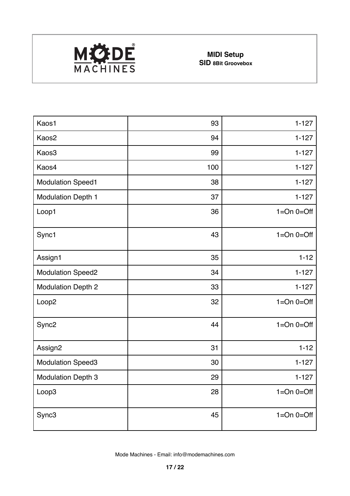

| Kaos1                     | 93  | $1 - 127$      |
|---------------------------|-----|----------------|
| Kaos2                     | 94  | $1 - 127$      |
| Kaos3                     | 99  | $1 - 127$      |
| Kaos4                     | 100 | $1 - 127$      |
| <b>Modulation Speed1</b>  | 38  | $1 - 127$      |
| <b>Modulation Depth 1</b> | 37  | $1 - 127$      |
| Loop1                     | 36  | $1=On$ $0=Off$ |
| Sync1                     | 43  | $1=On$ $0=Off$ |
| Assign1                   | 35  | $1 - 12$       |
| <b>Modulation Speed2</b>  | 34  | $1 - 127$      |
| <b>Modulation Depth 2</b> | 33  | $1 - 127$      |
| Loop <sub>2</sub>         | 32  | $1=On$ $0=Off$ |
| Sync <sub>2</sub>         | 44  | $1=On$ $0=Off$ |
| Assign2                   | 31  | $1 - 12$       |
| <b>Modulation Speed3</b>  | 30  | $1 - 127$      |
| <b>Modulation Depth 3</b> | 29  | $1 - 127$      |
| Loop3                     | 28  | $1=On$ $0=Off$ |
| Sync3                     | 45  | $1=On$ $0=Off$ |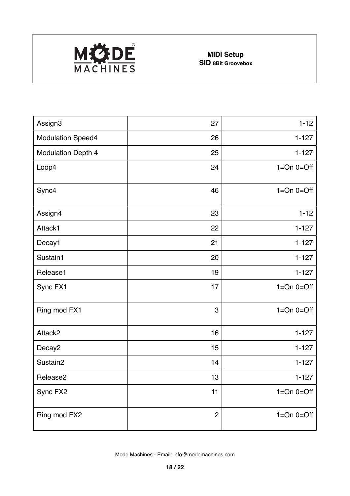

| Assign3                   | 27           | $1 - 12$       |
|---------------------------|--------------|----------------|
| <b>Modulation Speed4</b>  | 26           | $1 - 127$      |
| <b>Modulation Depth 4</b> | 25           | $1 - 127$      |
| Loop4                     | 24           | $1=On$ $0=Off$ |
| Sync4                     | 46           | $1=On$ $0=Off$ |
| Assign4                   | 23           | $1 - 12$       |
| Attack1                   | 22           | $1 - 127$      |
| Decay1                    | 21           | $1 - 127$      |
| Sustain1                  | 20           | $1 - 127$      |
| Release1                  | 19           | $1 - 127$      |
| Sync FX1                  | 17           | $1=On$ $0=Off$ |
| Ring mod FX1              | 3            | $1=On$ $0=Off$ |
| Attack2                   | 16           | $1 - 127$      |
| Decay <sub>2</sub>        | 15           | $1 - 127$      |
| Sustain2                  | 14           | $1 - 127$      |
| Release2                  | 13           | $1 - 127$      |
| Sync FX2                  | 11           | $1=On$ $0=Off$ |
| Ring mod FX2              | $\mathbf{2}$ | $1=On$ $0=Off$ |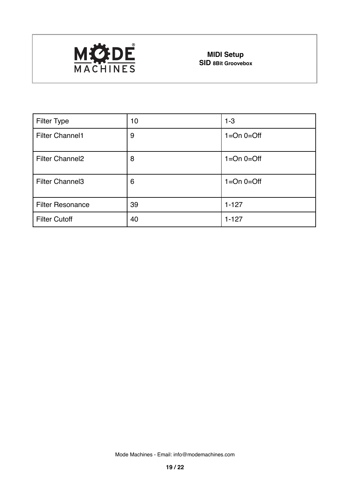

| <b>Filter Type</b>      | 10 | $1 - 3$        |
|-------------------------|----|----------------|
| <b>Filter Channel1</b>  | 9  | $1=On$ $0=Off$ |
| <b>Filter Channel2</b>  | 8  | $1=On$ $0=Off$ |
| <b>Filter Channel3</b>  | 6  | $1=On$ $0=Off$ |
| <b>Filter Resonance</b> | 39 | $1 - 127$      |
| <b>Filter Cutoff</b>    | 40 | $1 - 127$      |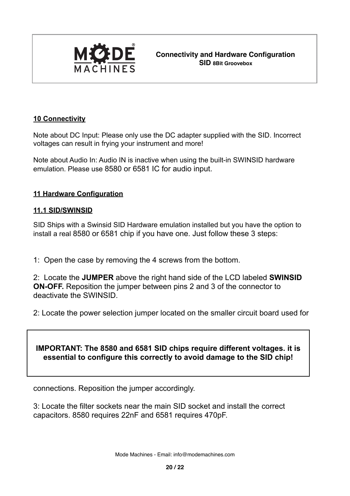

# **10 Connectivity**

Note about DC Input: Please only use the DC adapter supplied with the SID. Incorrect voltages can result in frying your instrument and more!

Note about Audio In: Audio IN is inactive when using the built-in SWINSID hardware emulation. Please use 8580 or 6581 IC for audio input.

### **11 Hardware Configuration**

### **11.1 SID/SWINSID**

SID Ships with a Swinsid SID Hardware emulation installed but you have the option to install a real 8580 or 6581 chip if you have one. Just follow these 3 steps:

1: Open the case by removing the 4 screws from the bottom.

2: Locate the **JUMPER** above the right hand side of the LCD labeled **SWINSID ON-OFF.** Reposition the jumper between pins 2 and 3 of the connector to deactivate the SWINSID.

2: Locate the power selection jumper located on the smaller circuit board used for

# **IMPORTANT: The 8580 and 6581 SID chips require different voltages. it is essential to configure this correctly to avoid damage to the SID chip!**

connections. Reposition the jumper accordingly.

3: Locate the filter sockets near the main SID socket and install the correct capacitors. 8580 requires 22nF and 6581 requires 470pF.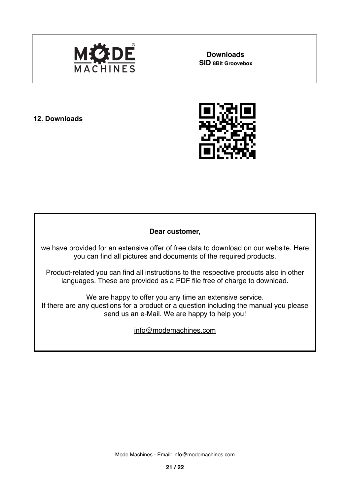

**Downloads**

### **12. Downloads**



#### **Dear customer,**

we have provided for an extensive offer of free data to download on our website. Here you can find all pictures and documents of the required products.

Product-related you can find all instructions to the respective products also in other languages. These are provided as a PDF file free of charge to download.

We are happy to offer you any time an extensive service. If there are any questions for a product or a question including the manual you please send us an e-Mail. We are happy to help you!

[info@modemachines.com](mailto:info@modemachines.com)